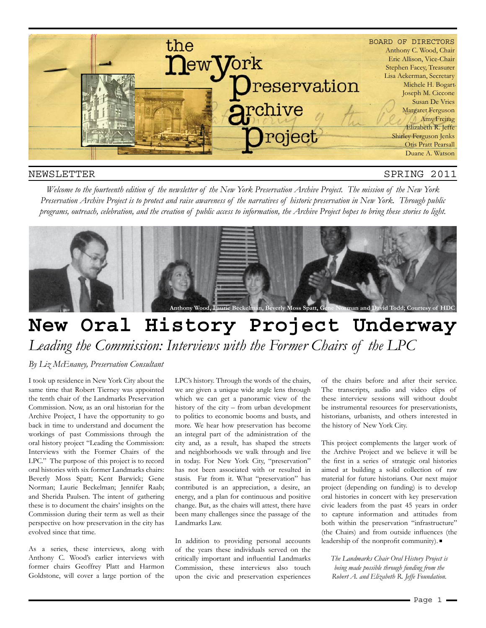

#### NEWSLETTER

#### SPRING 2011

*Welcome to the fourteenth edition of the newsletter of the New York Preservation Archive Project. The mission of the New York Preservation Archive Project is to protect and raise awareness of the narratives of historic preservation in New York. Through public programs, outreach, celebration, and the creation of public access to information, the Archive Project hopes to bring these stories to light.* 



## **New Oral History Project Underway** *Leading the Commission: Interviews with the Former Chairs of the LPC*

#### *By Liz McEnaney, Preservation Consultant*

I took up residence in New York City about the same time that Robert Tierney was appointed the tenth chair of the Landmarks Preservation Commission. Now, as an oral historian for the Archive Project, I have the opportunity to go back in time to understand and document the workings of past Commissions through the oral history project "Leading the Commission: Interviews with the Former Chairs of the LPC." The purpose of this project is to record oral histories with six former Landmarks chairs: Beverly Moss Spatt; Kent Barwick; Gene Norman; Laurie Beckelman; Jennifer Raab; and Sherida Paulsen. The intent of gathering these is to document the chairs' insights on the Commission during their term as well as their perspective on how preservation in the city has evolved since that time.

As a series, these interviews, along with Anthony C. Wood's earlier interviews with former chairs Geoffrey Platt and Harmon Goldstone, will cover a large portion of the

LPC's history. Through the words of the chairs, we are given a unique wide angle lens through which we can get a panoramic view of the history of the city – from urban development to politics to economic booms and busts, and more. We hear how preservation has become an integral part of the administration of the city and, as a result, has shaped the streets and neighborhoods we walk through and live in today. For New York City, "preservation" has not been associated with or resulted in stasis. Far from it. What "preservation" has contributed is an appreciation, a desire, an energy, and a plan for continuous and positive change. But, as the chairs will attest, there have been many challenges since the passage of the Landmarks Law.

In addition to providing personal accounts of the years these individuals served on the critically important and influential Landmarks Commission, these interviews also touch upon the civic and preservation experiences of the chairs before and after their service. The transcripts, audio and video clips of these interview sessions will without doubt be instrumental resources for preservationists, historians, urbanists, and others interested in the history of New York City.

This project complements the larger work of the Archive Project and we believe it will be the first in a series of strategic oral histories aimed at building a solid collection of raw material for future historians. Our next major project (depending on funding) is to develop oral histories in concert with key preservation civic leaders from the past 45 years in order to capture information and attitudes from both within the preservation "infrastructure" (the Chairs) and from outside influences (the leadership of the nonprofit community).

*The Landmarks Chair Oral History Project is being made possible through funding from the Robert A. and Elizabeth R. Jeffe Foundation.*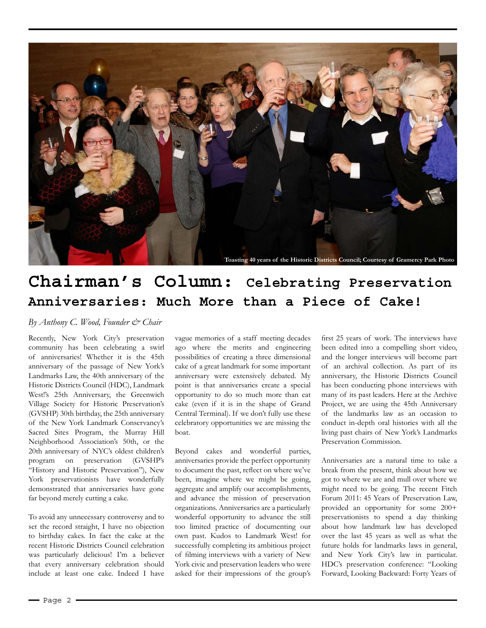

## **Chairman's Column: Celebrating Preservation Anniversaries: Much More than a Piece of Cake!**

*By Anthony C. Wood, Founder & Chair*

Recently, New York City's preservation community has been celebrating a swirl of anniversaries! Whether it is the 45th anniversary of the passage of New York's Landmarks Law, the 40th anniversary of the Historic Districts Council (HDC), Landmark West!'s 25th Anniversary, the Greenwich Village Society for Historic Preservation's (GVSHP) 30th birthday, the 25th anniversary of the New York Landmark Conservancy's Sacred Sites Program, the Murray Hill Neighborhood Association's 50th, or the 20th anniversary of NYC's oldest children's program on preservation (GVSHP's "History and Historic Preservation"), New York preservationists have wonderfully demonstrated that anniversaries have gone far beyond merely cutting a cake.

To avoid any unnecessary controversy and to set the record straight, I have no objection to birthday cakes. In fact the cake at the recent Historic Districts Council celebration was particularly delicious! I'm a believer that every anniversary celebration should include at least one cake. Indeed I have vague memories of a staff meeting decades ago where the merits and engineering possibilities of creating a three dimensional cake of a great landmark for some important anniversary were extensively debated. My point is that anniversaries create a special opportunity to do so much more than eat cake (even if it is in the shape of Grand Central Terminal). If we don't fully use these celebratory opportunities we are missing the boat.

Beyond cakes and wonderful parties, anniversaries provide the perfect opportunity to document the past, reflect on where we've been, imagine where we might be going, aggregate and amplify our accomplishments, and advance the mission of preservation organizations. Anniversaries are a particularly wonderful opportunity to advance the still too limited practice of documenting our own past. Kudos to Landmark West! for successfully completing its ambitious project of filming interviews with a variety of New York civic and preservation leaders who were asked for their impressions of the group's

first 25 years of work. The interviews have been edited into a compelling short video, and the longer interviews will become part of an archival collection. As part of its anniversary, the Historic Districts Council has been conducting phone interviews with many of its past leaders. Here at the Archive Project, we are using the 45th Anniversary of the landmarks law as an occasion to conduct in-depth oral histories with all the living past chairs of New York's Landmarks Preservation Commission.

Anniversaries are a natural time to take a break from the present, think about how we got to where we are and mull over where we might need to be going. The recent Fitch Forum 2011: 45 Years of Preservation Law, provided an opportunity for some 200+ preservationists to spend a day thinking about how landmark law has developed over the last 45 years as well as what the future holds for landmarks laws in general, and New York City's law in particular. HDC's preservation conference: "Looking Forward, Looking Backward: Forty Years of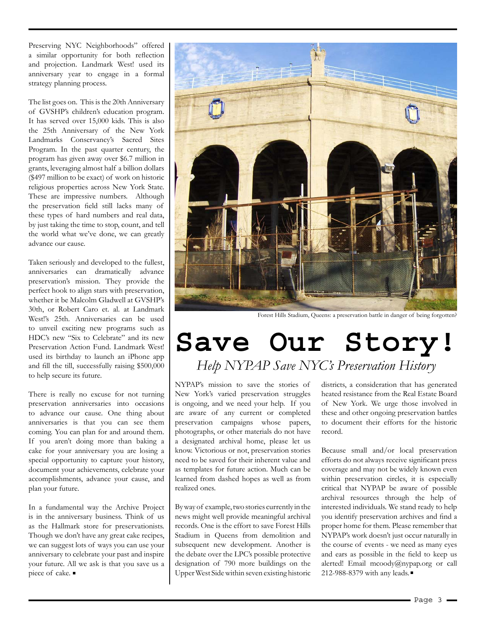Preserving NYC Neighborhoods" offered a similar opportunity for both reflection and projection. Landmark West! used its anniversary year to engage in a formal strategy planning process.

The list goes on. This is the 20th Anniversary of GVSHP's children's education program. It has served over 15,000 kids. This is also the 25th Anniversary of the New York Landmarks Conservancy's Sacred Sites Program. In the past quarter century, the program has given away over \$6.7 million in grants, leveraging almost half a billion dollars (\$497 million to be exact) of work on historic religious properties across New York State. These are impressive numbers. Although the preservation field still lacks many of these types of hard numbers and real data, by just taking the time to stop, count, and tell the world what we've done, we can greatly advance our cause.

Taken seriously and developed to the fullest, anniversaries can dramatically advance preservation's mission. They provide the perfect hook to align stars with preservation, whether it be Malcolm Gladwell at GVSHP's 30th, or Robert Caro et. al. at Landmark West!'s 25th. Anniversaries can be used to unveil exciting new programs such as HDC's new "Six to Celebrate" and its new Preservation Action Fund. Landmark West! used its birthday to launch an iPhone app and fill the till, successfully raising \$500,000 to help secure its future.

There is really no excuse for not turning preservation anniversaries into occasions to advance our cause. One thing about anniversaries is that you can see them coming. You can plan for and around them. If you aren't doing more than baking a cake for your anniversary you are losing a special opportunity to capture your history, document your achievements, celebrate your accomplishments, advance your cause, and plan your future.

In a fundamental way the Archive Project is in the anniversary business. Think of us as the Hallmark store for preservationists. Though we don't have any great cake recipes, we can suggest lots of ways you can use your anniversary to celebrate your past and inspire your future. All we ask is that you save us a piece of cake.



Forest Hills Stadium, Queens: a preservation battle in danger of being forgotten?

## **Save Our Story!** *Help NYPAP Save NYC's Preservation History*

NYPAP's mission to save the stories of New York's varied preservation struggles is ongoing, and we need your help. If you are aware of any current or completed preservation campaigns whose papers, photographs, or other materials do not have a designated archival home, please let us know. Victorious or not, preservation stories need to be saved for their inherent value and as templates for future action. Much can be learned from dashed hopes as well as from realized ones.

By way of example, two stories currently in the news might well provide meaningful archival records. One is the effort to save Forest Hills Stadium in Queens from demolition and subsequent new development. Another is the debate over the LPC's possible protective designation of 790 more buildings on the Upper West Side within seven existing historic districts, a consideration that has generated heated resistance from the Real Estate Board of New York. We urge those involved in these and other ongoing preservation battles to document their efforts for the historic record.

Because small and/or local preservation efforts do not always receive significant press coverage and may not be widely known even within preservation circles, it is especially critical that NYPAP be aware of possible archival resources through the help of interested individuals. We stand ready to help you identify preservation archives and find a proper home for them. Please remember that NYPAP's work doesn't just occur naturally in the course of events - we need as many eyes and ears as possible in the field to keep us alerted! Email mcoody@nypap.org or call 212-988-8379 with any leads.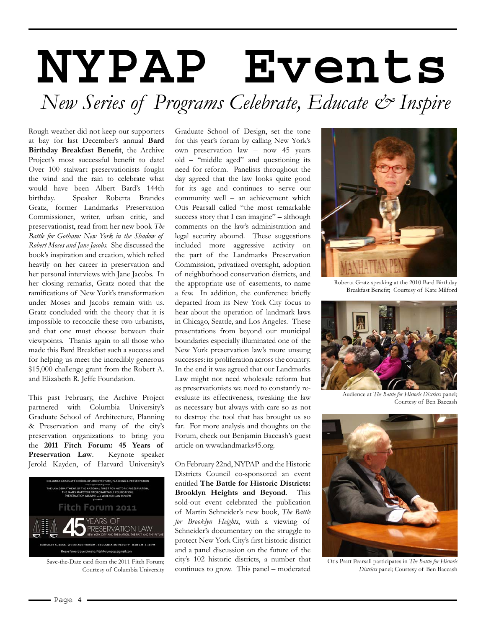# **NYPAP Events**  *New Series of Programs Celebrate, Educate & Inspire*

Rough weather did not keep our supporters at bay for last December's annual **Bard Birthday Breakfast Benefit**, the Archive Project's most successful benefit to date! Over 100 stalwart preservationists fought the wind and the rain to celebrate what would have been Albert Bard's 144th birthday. Speaker Roberta Brandes Gratz, former Landmarks Preservation Commissioner, writer, urban critic, and preservationist, read from her new book *The Battle for Gotham: New York in the Shadow of Robert Moses and Jane Jacobs*. She discussed the book's inspiration and creation, which relied heavily on her career in preservation and her personal interviews with Jane Jacobs. In her closing remarks, Gratz noted that the ramifications of New York's transformation under Moses and Jacobs remain with us. Gratz concluded with the theory that it is impossible to reconcile these two urbanists, and that one must choose between their viewpoints. Thanks again to all those who made this Bard Breakfast such a success and for helping us meet the incredibly generous \$15,000 challenge grant from the Robert A. and Elizabeth R. Jeffe Foundation.

This past February, the Archive Project partnered with Columbia University's Graduate School of Architecture, Planning & Preservation and many of the city's preservation organizations to bring you the **2011 Fitch Forum: 45 Years of Preservation Law**. Keynote speaker Jerold Kayden, of Harvard University's



Save-the-Date card from the 2011 Fitch Forum; Courtesy of Columbia University

Graduate School of Design, set the tone for this year's forum by calling New York's own preservation law – now 45 years old – "middle aged" and questioning its need for reform. Panelists throughout the day agreed that the law looks quite good for its age and continues to serve our community well – an achievement which Otis Pearsall called "the most remarkable success story that I can imagine" – although comments on the law's administration and legal security abound. These suggestions included more aggressive activity on the part of the Landmarks Preservation Commission, privatized oversight, adoption of neighborhood conservation districts, and the appropriate use of easements, to name a few. In addition, the conference briefly departed from its New York City focus to hear about the operation of landmark laws in Chicago, Seattle, and Los Angeles. These presentations from beyond our municipal boundaries especially illuminated one of the New York preservation law's more unsung successes: its proliferation across the country. In the end it was agreed that our Landmarks Law might not need wholesale reform but as preservationists we need to constantly reevaluate its effectiveness, tweaking the law as necessary but always with care so as not to destroy the tool that has brought us so far. For more analysis and thoughts on the Forum, check out Benjamin Baccash's guest article on www.landmarks45.org.

On February 22nd, NYPAP and the Historic Districts Council co-sponsored an event entitled **The Battle for Historic Districts: Brooklyn Heights and Beyond**. This sold-out event celebrated the publication of Martin Schneider's new book, *The Battle for Brooklyn Heights*, with a viewing of Schneider's documentary on the struggle to protect New York City's first historic district and a panel discussion on the future of the city's 102 historic districts, a number that continues to grow. This panel – moderated



Roberta Gratz speaking at the 2010 Bard Birthday Breakfast Benefit; Courtesy of Kate Milford



Audience at *The Battle for Historic Districts* panel; Courtesy of Ben Baccash



Otis Pratt Pearsall participates in *The Battle for Historic Districts* panel; Courtesy of Ben Baccash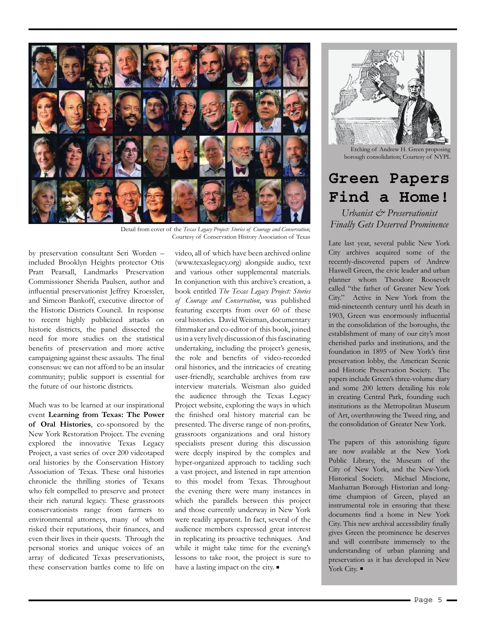

Detail from cover of the *Texas Legacy Project: Stories of Courage and Conservation*; Courtesy of Conservation History Association of Texas

by preservation consultant Seri Worden – included Brooklyn Heights protector Otis Pratt Pearsall, Landmarks Preservation Commissioner Sherida Paulsen, author and influential preservationist Jeffrey Kroessler, and Simeon Bankoff, executive director of the Historic Districts Council. In response to recent highly publicized attacks on historic districts, the panel dissected the need for more studies on the statistical benefits of preservation and more active campaigning against these assaults. The final consensus: we can not afford to be an insular community; public support is essential for the future of our historic districts.

Much was to be learned at our inspirational event **Learning from Texas: The Power of Oral Histories**, co-sponsored by the New York Restoration Project. The evening explored the innovative Texas Legacy Project, a vast series of over 200 videotaped oral histories by the Conservation History Association of Texas. These oral histories chronicle the thrilling stories of Texans who felt compelled to preserve and protect their rich natural legacy. These grassroots conservationists range from farmers to environmental attorneys, many of whom risked their reputations, their finances, and even their lives in their quests. Through the personal stories and unique voices of an array of dedicated Texas preservationists, these conservation battles come to life on

video, all of which have been archived online (www.texaslegacy.org) alongside audio, text and various other supplemental materials. In conjunction with this archive's creation, a book entitled *The Texas Legacy Project: Stories of Courage and Conservation*, was published featuring excerpts from over 60 of these oral histories. David Weisman, documentary filmmaker and co-editor of this book, joined us in a very lively discussion of this fascinating undertaking, including the project's genesis, the role and benefits of video-recorded oral histories, and the intricacies of creating user-friendly, searchable archives from raw interview materials. Weisman also guided the audience through the Texas Legacy Project website, exploring the ways in which the finished oral history material can be presented. The diverse range of non-profits, grassroots organizations and oral history specialists present during this discussion were deeply inspired by the complex and hyper-organized approach to tackling such a vast project, and listened in rapt attention to this model from Texas. Throughout the evening there were many instances in which the parallels between this project and those currently underway in New York were readily apparent. In fact, several of the audience members expressed great interest in replicating its proactive techniques. And while it might take time for the evening's lessons to take root, the project is sure to have a lasting impact on the city.



Etching of Andrew H. Green proposing borough consolidation; Courtesy of NYPL

## **Green Papers Find a Home!**

*Urbanist & Preservationist Finally Gets Deserved Prominence*

Late last year, several public New York City archives acquired some of the recently-discovered papers of Andrew Haswell Green, the civic leader and urban planner whom Theodore Roosevelt called "the father of Greater New York City." Active in New York from the mid-nineteenth century until his death in 1903, Green was enormously influential in the consolidation of the boroughs, the establishment of many of our city's most cherished parks and institutions, and the foundation in 1895 of New York's first preservation lobby, the American Scenic and Historic Preservation Society. The papers include Green's three-volume diary and some 200 letters detailing his role in creating Central Park, founding such institutions as the Metropolitan Museum of Art, overthrowing the Tweed ring, and the consolidation of Greater New York.

The papers of this astonishing figure are now available at the New York Public Library, the Museum of the City of New York, and the New-York Historical Society. Michael Miscione, Manhattan Borough Historian and longtime champion of Green, played an instrumental role in ensuring that these documents find a home in New York City. This new archival accessibility finally gives Green the prominence he deserves and will contribute immensely to the understanding of urban planning and preservation as it has developed in New York City.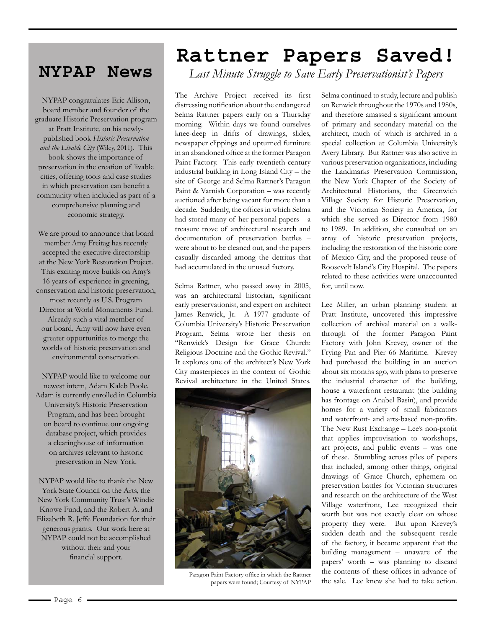## **NYPAP News**

NYPAP congratulates Eric Allison, board member and founder of the graduate Historic Preservation program at Pratt Institute, on his newlypublished book *Historic Preservation and the Livable City* (Wiley, 2011). This book shows the importance of preservation in the creation of livable cities, offering tools and case studies in which preservation can benefit a community when included as part of a comprehensive planning and economic strategy.

We are proud to announce that board member Amy Freitag has recently accepted the executive directorship at the New York Restoration Project. This exciting move builds on Amy's 16 years of experience in greening, conservation and historic preservation, most recently as U.S. Program Director at World Monuments Fund. Already such a vital member of our board, Amy will now have even greater opportunities to merge the worlds of historic preservation and environmental conservation.

NYPAP would like to welcome our newest intern, Adam Kaleb Poole. Adam is currently enrolled in Columbia University's Historic Preservation Program, and has been brought on board to continue our ongoing database project, which provides a clearinghouse of information on archives relevant to historic preservation in New York.

NYPAP would like to thank the New York State Council on the Arts, the New York Community Trust's Windie Knowe Fund, and the Robert A. and Elizabeth R. Jeffe Foundation for their generous grants. Our work here at NYPAP could not be accomplished without their and your financial support.

## **Rattner Papers Saved!**

*Last Minute Struggle to Save Early Preservationist's Papers*

The Archive Project received its first distressing notification about the endangered Selma Rattner papers early on a Thursday morning. Within days we found ourselves knee-deep in drifts of drawings, slides, newspaper clippings and upturned furniture in an abandoned office at the former Paragon Paint Factory. This early twentieth-century industrial building in Long Island City – the site of George and Selma Rattner's Paragon Paint & Varnish Corporation – was recently auctioned after being vacant for more than a decade. Suddenly, the offices in which Selma had stored many of her personal papers – a treasure trove of architectural research and documentation of preservation battles – were about to be cleaned out, and the papers casually discarded among the detritus that had accumulated in the unused factory.

Selma Rattner, who passed away in 2005, was an architectural historian, significant early preservationist, and expert on architect James Renwick, Jr. A 1977 graduate of Columbia University's Historic Preservation Program, Selma wrote her thesis on "Renwick's Design for Grace Church: Religious Doctrine and the Gothic Revival." It explores one of the architect's New York City masterpieces in the context of Gothic Revival architecture in the United States.



Paragon Paint Factory office in which the Rattner papers were found; Courtesy of NYPAP

Selma continued to study, lecture and publish on Renwick throughout the 1970s and 1980s, and therefore amassed a significant amount of primary and secondary material on the architect, much of which is archived in a special collection at Columbia University's Avery Library. But Rattner was also active in various preservation organizations, including the Landmarks Preservation Commission, the New York Chapter of the Society of Architectural Historians, the Greenwich Village Society for Historic Preservation, and the Victorian Society in America, for which she served as Director from 1980 to 1989. In addition, she consulted on an array of historic preservation projects, including the restoration of the historic core of Mexico City, and the proposed reuse of Roosevelt Island's City Hospital. The papers related to these activities were unaccounted for, until now.

Lee Miller, an urban planning student at Pratt Institute, uncovered this impressive collection of archival material on a walkthrough of the former Paragon Paint Factory with John Krevey, owner of the Frying Pan and Pier 66 Maritime. Krevey had purchased the building in an auction about six months ago, with plans to preserve the industrial character of the building, house a waterfront restaurant (the building has frontage on Anabel Basin), and provide homes for a variety of small fabricators and waterfront- and arts-based non-profits. The New Rust Exchange – Lee's non-profit that applies improvisation to workshops, art projects, and public events – was one of these. Stumbling across piles of papers that included, among other things, original drawings of Grace Church, ephemera on preservation battles for Victorian structures and research on the architecture of the West Village waterfront, Lee recognized their worth but was not exactly clear on whose property they were. But upon Krevey's sudden death and the subsequent resale of the factory, it became apparent that the building management – unaware of the papers' worth – was planning to discard the contents of these offices in advance of the sale. Lee knew she had to take action.